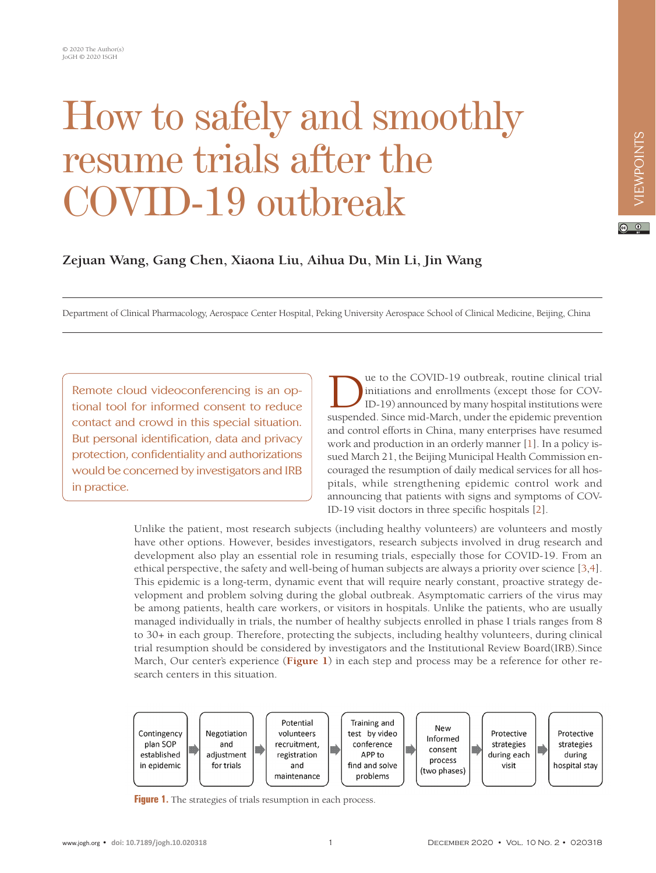# How to safely and smoothly resume trials after the **TD-19 outbreak**

## **Zejuan Wang, Gang Chen, Xiaona Liu, Aihua Du, Min Li, Jin Wang**

Department of Clinical Pharmacology, Aerospace Center Hospital, Peking University Aerospace School of Clinical Medicine, Beijing, China

Remote cloud videoconferencing is an optional tool for informed consent to reduce contact and crowd in this special situation. But personal identification, data and privacy protection, confidentiality and authorizations would be concerned by investigators and IRB in practice.

**Due to the COVID-19 outbreak, routine clinical trial**<br>initiations and enrollments (except those for COV-<br>ID-19) announced by many hospital institutions were<br>suspended. Since mid-March, under the epidemic prevention initiations and enrollments (except those for COV-ID-19) announced by many hospital institutions were suspended. Since mid-March, under the epidemic prevention and control efforts in China, many enterprises have resumed work and production in an orderly manner [[1\]](#page-3-0). In a policy issued March 21, the Beijing Municipal Health Commission encouraged the resumption of daily medical services for all hospitals, while strengthening epidemic control work and announcing that patients with signs and symptoms of COV-ID-19 visit doctors in three specific hospitals [[2\]](#page-3-1).

Unlike the patient, most research subjects (including healthy volunteers) are volunteers and mostly have other options. However, besides investigators, research subjects involved in drug research and development also play an essential role in resuming trials, especially those for COVID-19. From an ethical perspective, the safety and well-being of human subjects are always a priority over science [\[3](#page-3-2)[,4\]](#page-3-3). This epidemic is a long-term, dynamic event that will require nearly constant, proactive strategy development and problem solving during the global outbreak. Asymptomatic carriers of the virus may be among patients, health care workers, or visitors in hospitals. Unlike the patients, who are usually managed individually in trials, the number of healthy subjects enrolled in phase I trials ranges from 8 to 30+ in each group. Therefore, protecting the subjects, including healthy volunteers, during clinical trial resumption should be considered by investigators and the Institutional Review Board(IRB).Since March, Our center's experience (**[Figure 1](#page-0-0)**) in each step and process may be a reference for other research centers in this situation.

<span id="page-0-0"></span>

**Figure 1.** The strategies of trials resumption in each process.

 $\boxed{6}$  0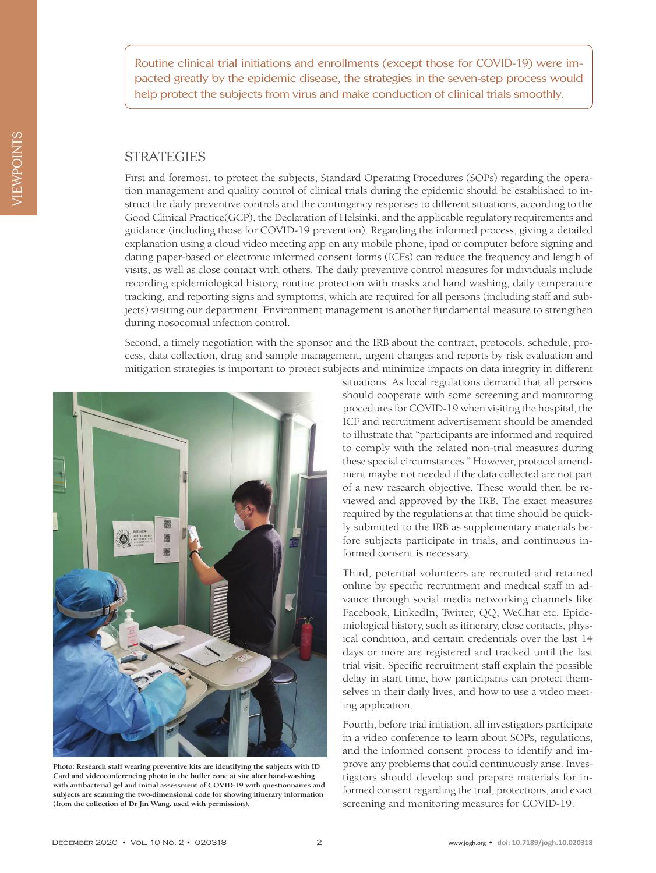Routine clinical trial initiations and enrollments (except those for COVID-19) were impacted greatly by the epidemic disease, the strategies in the seven-step process would help protect the subjects from virus and make conduction of clinical trials smoothly.

#### **STRATEGIES**

First and foremost, to protect the subjects, Standard Operating Procedures (SOPs) regarding the operation management and quality control of clinical trials during the epidemic should be established to instruct the daily preventive controls and the contingency responses to different situations, according to the Good Clinical Practice(GCP), the Declaration of Helsinki, and the applicable regulatory requirements and guidance (including those for COVID-19 prevention). Regarding the informed process, giving a detailed explanation using a cloud video meeting app on any mobile phone, ipad or computer before signing and dating paper-based or electronic informed consent forms (ICFs) can reduce the frequency and length of visits, as well as close contact with others. The daily preventive control measures for individuals include recording epidemiological history, routine protection with masks and hand washing, daily temperature tracking, and reporting signs and symptoms, which are required for all persons (including staff and subjects) visiting our department. Environment management is another fundamental measure to strengthen during nosocomial infection control.

Second, a timely negotiation with the sponsor and the IRB about the contract, protocols, schedule, process, data collection, drug and sample management, urgent changes and reports by risk evaluation and mitigation strategies is important to protect subjects and minimize impacts on data integrity in different



**Photo: Research staff wearing preventive kits are identifying the subjects with ID Card and videoconferencing photo in the buffer zone at site after hand-washing with antibacterial gel and initial assessment of COVID-19 with questionnaires and subjects are scanning the two-dimensional code for showing itinerary information (from the collection of Dr Jin Wang, used with permission).**

situations. As local regulations demand that all persons should cooperate with some screening and monitoring procedures for COVID-19 when visiting the hospital, the ICF and recruitment advertisement should be amended to illustrate that "participants are informed and required to comply with the related non-trial measures during these special circumstances." However, protocol amendment maybe not needed if the data collected are not part of a new research objective. These would then be reviewed and approved by the IRB. The exact measures required by the regulations at that time should be quickly submitted to the IRB as supplementary materials before subjects participate in trials, and continuous informed consent is necessary.

Third, potential volunteers are recruited and retained online by specific recruitment and medical staff in advance through social media networking channels like Facebook, LinkedIn, Twitter, QQ, WeChat etc. Epidemiological history, such as itinerary, close contacts, physical condition, and certain credentials over the last 14 days or more are registered and tracked until the last trial visit. Specific recruitment staff explain the possible delay in start time, how participants can protect themselves in their daily lives, and how to use a video meeting application.

Fourth, before trial initiation, all investigators participate in a video conference to learn about SOPs, regulations, and the informed consent process to identify and improve any problems that could continuously arise. Investigators should develop and prepare materials for informed consent regarding the trial, protections, and exact screening and monitoring measures for COVID-19.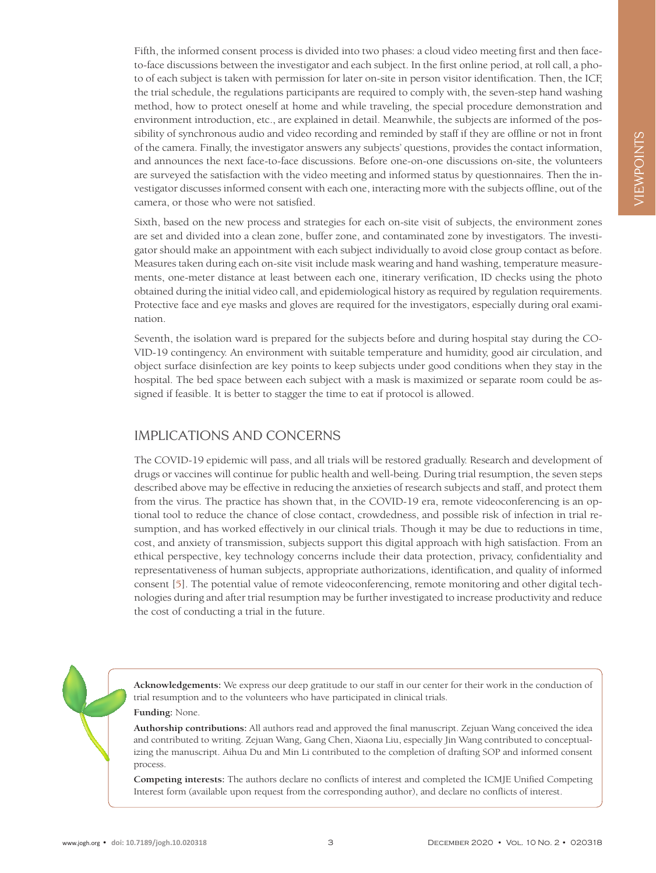Fifth, the informed consent process is divided into two phases: a cloud video meeting first and then faceto-face discussions between the investigator and each subject. In the first online period, at roll call, a photo of each subject is taken with permission for later on-site in person visitor identification. Then, the ICF, the trial schedule, the regulations participants are required to comply with, the seven-step hand washing method, how to protect oneself at home and while traveling, the special procedure demonstration and environment introduction, etc., are explained in detail. Meanwhile, the subjects are informed of the possibility of synchronous audio and video recording and reminded by staff if they are offline or not in front of the camera. Finally, the investigator answers any subjects' questions, provides the contact information, and announces the next face-to-face discussions. Before one-on-one discussions on-site, the volunteers are surveyed the satisfaction with the video meeting and informed status by questionnaires. Then the investigator discusses informed consent with each one, interacting more with the subjects offline, out of the camera, or those who were not satisfied.

Sixth, based on the new process and strategies for each on-site visit of subjects, the environment zones are set and divided into a clean zone, buffer zone, and contaminated zone by investigators. The investigator should make an appointment with each subject individually to avoid close group contact as before. Measures taken during each on-site visit include mask wearing and hand washing, temperature measurements, one-meter distance at least between each one, itinerary verification, ID checks using the photo obtained during the initial video call, and epidemiological history as required by regulation requirements. Protective face and eye masks and gloves are required for the investigators, especially during oral examination.

Seventh, the isolation ward is prepared for the subjects before and during hospital stay during the CO-VID-19 contingency. An environment with suitable temperature and humidity, good air circulation, and object surface disinfection are key points to keep subjects under good conditions when they stay in the hospital. The bed space between each subject with a mask is maximized or separate room could be assigned if feasible. It is better to stagger the time to eat if protocol is allowed.

### IMPLICATIONS AND CONCERNS

The COVID-19 epidemic will pass, and all trials will be restored gradually. Research and development of drugs or vaccines will continue for public health and well-being. During trial resumption, the seven steps described above may be effective in reducing the anxieties of research subjects and staff, and protect them from the virus. The practice has shown that, in the COVID-19 era, remote videoconferencing is an optional tool to reduce the chance of close contact, crowdedness, and possible risk of infection in trial resumption, and has worked effectively in our clinical trials. Though it may be due to reductions in time, cost, and anxiety of transmission, subjects support this digital approach with high satisfaction. From an ethical perspective, key technology concerns include their data protection, privacy, confidentiality and representativeness of human subjects, appropriate authorizations, identification, and quality of informed consent [[5\]](#page-3-4). The potential value of remote videoconferencing, remote monitoring and other digital technologies during and after trial resumption may be further investigated to increase productivity and reduce the cost of conducting a trial in the future.



**Acknowledgements:** We express our deep gratitude to our staff in our center for their work in the conduction of trial resumption and to the volunteers who have participated in clinical trials. **Funding:** None.

**Authorship contributions:** All authors read and approved the final manuscript. Zejuan Wang conceived the idea and contributed to writing. Zejuan Wang, Gang Chen, Xiaona Liu, especially Jin Wang contributed to conceptualizing the manuscript. Aihua Du and Min Li contributed to the completion of drafting SOP and informed consent process.

**Competing interests:** The authors declare no conflicts of interest and completed the ICMJE Unified Competing Interest form (available upon request from the corresponding author), and declare no conflicts of interest.